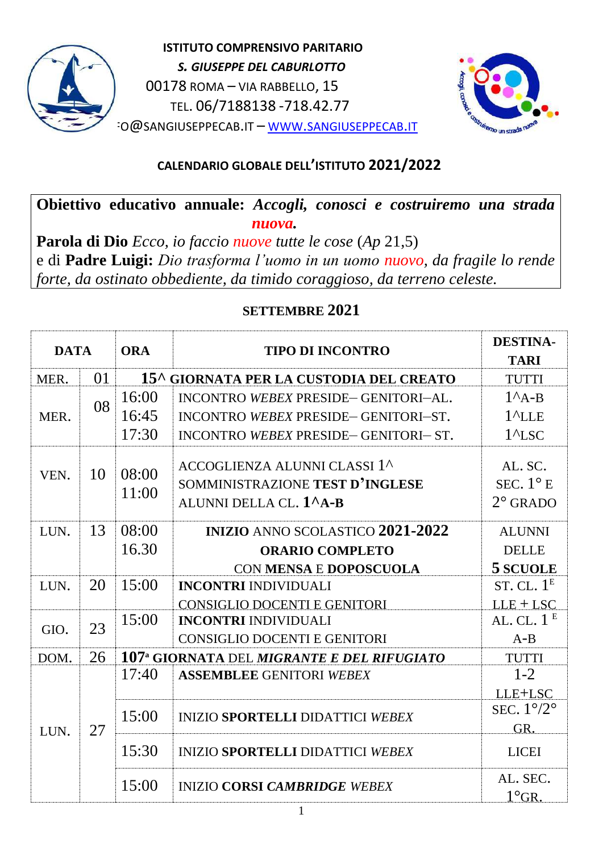

 **ISTITUTO COMPRENSIVO PARITARIO**  *S. GIUSEPPE DEL CABURLOTTO* 00178 ROMA – VIA RABBELLO, 15 TEL. 06/7188138 -718.42.77 IO@[SANGIUSEPPECAB](http://www.sangiuseppecab.it/).IT – WWW.SANGIUSEPPECAB.IT



## **CALENDARIO GLOBALE DELL'ISTITUTO 2021/2022**

# **Obiettivo educativo annuale:** *Accogli, conosci e costruiremo una strada nuova.*

**Parola di Dio** *Ecco, io faccio nuove tutte le cose* (*Ap* 21,5) e di **Padre Luigi:** *Dio trasforma l'uomo in un uomo nuovo, da fragile lo rende forte, da ostinato obbediente, da timido coraggioso, da terreno celeste.*

### **SETTEMBRE 2021**

| <b>ORA</b><br><b>DATA</b><br><b>TIPO DI INCONTRO</b><br>01<br>15^ GIORNATA PER LA CUSTODIA DEL CREATO<br>MER.<br>16:00<br>INCONTRO WEBEX PRESIDE-GENITORI-AL.<br>08<br>16:45<br>$1^{\prime}$ LLE<br>MER.<br>INCONTRO WEBEX PRESIDE-GENITORI-ST.<br>17:30<br>INCONTRO WEBEX PRESIDE-GENITORI-ST.<br>ACCOGLIENZA ALUNNI CLASSI 1^<br>08:00<br>10<br>VEN.<br>SOMMINISTRAZIONE TEST D'INGLESE<br>11:00<br>ALUNNI DELLA CL. 1 <sup>^</sup> A-B<br>08:00<br>13<br><b>INIZIO ANNO SCOLASTICO 2021-2022</b><br>LUN.<br>16.30<br><b>ORARIO COMPLETO</b><br>CON MENSA E DOPOSCUOLA<br>20<br>15:00<br><b>INCONTRI INDIVIDUALI</b><br>LUN.<br><b>CONSIGLIO DOCENTI E GENITORI</b><br>15:00<br><b>INCONTRI INDIVIDUALI</b><br>23<br>GIO.<br><b>CONSIGLIO DOCENTI E GENITORI</b><br>26<br>107 <sup>a</sup> GIORNATA DEL MIGRANTE E DEL RIFUGIATO<br>DOM.<br>17:40<br><b>ASSEMBLEE GENITORI WEBEX</b> | <b>TARI</b><br><b>TUTTI</b><br>$1^A$ A-B |  |    |  |  |  |      |
|----------------------------------------------------------------------------------------------------------------------------------------------------------------------------------------------------------------------------------------------------------------------------------------------------------------------------------------------------------------------------------------------------------------------------------------------------------------------------------------------------------------------------------------------------------------------------------------------------------------------------------------------------------------------------------------------------------------------------------------------------------------------------------------------------------------------------------------------------------------------------------------|------------------------------------------|--|----|--|--|--|------|
|                                                                                                                                                                                                                                                                                                                                                                                                                                                                                                                                                                                                                                                                                                                                                                                                                                                                                        |                                          |  |    |  |  |  |      |
|                                                                                                                                                                                                                                                                                                                                                                                                                                                                                                                                                                                                                                                                                                                                                                                                                                                                                        |                                          |  |    |  |  |  |      |
|                                                                                                                                                                                                                                                                                                                                                                                                                                                                                                                                                                                                                                                                                                                                                                                                                                                                                        |                                          |  |    |  |  |  |      |
|                                                                                                                                                                                                                                                                                                                                                                                                                                                                                                                                                                                                                                                                                                                                                                                                                                                                                        |                                          |  |    |  |  |  |      |
|                                                                                                                                                                                                                                                                                                                                                                                                                                                                                                                                                                                                                                                                                                                                                                                                                                                                                        | $1^{\prime}$ LSC                         |  |    |  |  |  |      |
|                                                                                                                                                                                                                                                                                                                                                                                                                                                                                                                                                                                                                                                                                                                                                                                                                                                                                        | AL. SC.                                  |  |    |  |  |  |      |
|                                                                                                                                                                                                                                                                                                                                                                                                                                                                                                                                                                                                                                                                                                                                                                                                                                                                                        | SEC. $1^{\circ}$ E                       |  |    |  |  |  |      |
|                                                                                                                                                                                                                                                                                                                                                                                                                                                                                                                                                                                                                                                                                                                                                                                                                                                                                        | $2^{\circ}$ GRADO                        |  |    |  |  |  |      |
|                                                                                                                                                                                                                                                                                                                                                                                                                                                                                                                                                                                                                                                                                                                                                                                                                                                                                        | <b>ALUNNI</b>                            |  |    |  |  |  |      |
|                                                                                                                                                                                                                                                                                                                                                                                                                                                                                                                                                                                                                                                                                                                                                                                                                                                                                        | <b>DELLE</b>                             |  |    |  |  |  |      |
|                                                                                                                                                                                                                                                                                                                                                                                                                                                                                                                                                                                                                                                                                                                                                                                                                                                                                        | 5 SCUOLE                                 |  |    |  |  |  |      |
|                                                                                                                                                                                                                                                                                                                                                                                                                                                                                                                                                                                                                                                                                                                                                                                                                                                                                        | ST. CL. $1E$                             |  |    |  |  |  |      |
|                                                                                                                                                                                                                                                                                                                                                                                                                                                                                                                                                                                                                                                                                                                                                                                                                                                                                        | $LLE + LSC$                              |  |    |  |  |  |      |
|                                                                                                                                                                                                                                                                                                                                                                                                                                                                                                                                                                                                                                                                                                                                                                                                                                                                                        | AL. CL. $1E$                             |  |    |  |  |  |      |
|                                                                                                                                                                                                                                                                                                                                                                                                                                                                                                                                                                                                                                                                                                                                                                                                                                                                                        | $A-B$                                    |  |    |  |  |  |      |
|                                                                                                                                                                                                                                                                                                                                                                                                                                                                                                                                                                                                                                                                                                                                                                                                                                                                                        | <b>TUTTI</b>                             |  |    |  |  |  |      |
|                                                                                                                                                                                                                                                                                                                                                                                                                                                                                                                                                                                                                                                                                                                                                                                                                                                                                        | $1 - 2$                                  |  | 27 |  |  |  |      |
|                                                                                                                                                                                                                                                                                                                                                                                                                                                                                                                                                                                                                                                                                                                                                                                                                                                                                        | LLE+LSC                                  |  |    |  |  |  | LUN. |
| 15:00<br><b>INIZIO SPORTELLI DIDATTICI WEBEX</b>                                                                                                                                                                                                                                                                                                                                                                                                                                                                                                                                                                                                                                                                                                                                                                                                                                       | SEC. $1^{\circ}/2^{\circ}$               |  |    |  |  |  |      |
|                                                                                                                                                                                                                                                                                                                                                                                                                                                                                                                                                                                                                                                                                                                                                                                                                                                                                        | GR.                                      |  |    |  |  |  |      |
| 15:30<br><b>INIZIO SPORTELLI DIDATTICI WEBEX</b>                                                                                                                                                                                                                                                                                                                                                                                                                                                                                                                                                                                                                                                                                                                                                                                                                                       | <b>LICEI</b>                             |  |    |  |  |  |      |
| 15:00<br><b>INIZIO CORSI CAMBRIDGE WEBEX</b>                                                                                                                                                                                                                                                                                                                                                                                                                                                                                                                                                                                                                                                                                                                                                                                                                                           | AL. SEC.<br>$1^\circ$ GR.                |  |    |  |  |  |      |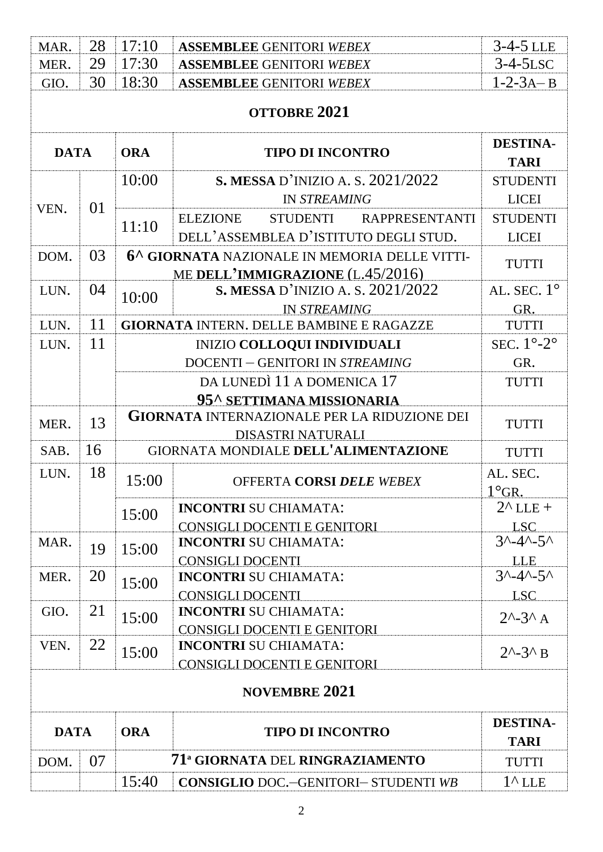| MAR.                        | 28 | 17:10                                                               | <b>ASSEMBLEE GENITORI WEBEX</b>                                                   | $3-4-5$ LLE                        |  |  |  |
|-----------------------------|----|---------------------------------------------------------------------|-----------------------------------------------------------------------------------|------------------------------------|--|--|--|
| MER.                        | 29 | 17:30                                                               | <b>ASSEMBLEE GENITORI WEBEX</b>                                                   | $3-4-5LSC$                         |  |  |  |
| GIO.                        | 30 | 18:30                                                               | <b>ASSEMBLEE GENITORI WEBEX</b>                                                   | $1-2-3A-B$                         |  |  |  |
|                             |    |                                                                     | OTTOBRE 2021                                                                      |                                    |  |  |  |
| <b>DATA</b>                 |    | <b>ORA</b>                                                          | <b>TIPO DI INCONTRO</b>                                                           | <b>DESTINA-</b><br><b>TARI</b>     |  |  |  |
|                             |    | 10:00                                                               | S. MESSA D'INIZIO A. S. $2021/2022$                                               | <b>STUDENTI</b>                    |  |  |  |
|                             |    |                                                                     | <b>IN STREAMING</b>                                                               | <b>LICEI</b>                       |  |  |  |
| VEN.                        | 01 |                                                                     | <b>ELEZIONE</b><br>STUDENTI<br><b>RAPPRESENTANTI</b>                              | <b>STUDENTI</b>                    |  |  |  |
|                             |    | 11:10                                                               | DELL'ASSEMBLEA D'ISTITUTO DEGLI STUD.                                             | <b>LICEI</b>                       |  |  |  |
| DOM.                        | 03 |                                                                     | 6^ GIORNATA NAZIONALE IN MEMORIA DELLE VITTI-<br>ME DELL'IMMIGRAZIONE (L.45/2016) | <b>TUTTI</b>                       |  |  |  |
| LUN.                        | 04 | 10:00                                                               | <b>S. MESSA</b> D'INIZIO A. S. 2021/2022                                          | AL. SEC. $1^\circ$                 |  |  |  |
|                             |    |                                                                     | <b>IN STREAMING</b>                                                               | GR.                                |  |  |  |
| LUN.                        | 11 |                                                                     | <b>GIORNATA INTERN. DELLE BAMBINE E RAGAZZE</b>                                   | <b>TUTTI</b>                       |  |  |  |
| LUN.                        | 11 |                                                                     | <b>INIZIO COLLOQUI INDIVIDUALI</b>                                                | SEC. $1^{\circ}$ -2°               |  |  |  |
|                             |    |                                                                     | DOCENTI - GENITORI IN STREAMING                                                   | GR.                                |  |  |  |
|                             |    |                                                                     | DA LUNEDÌ 11 A DOMENICA 17                                                        | <b>TUTTI</b>                       |  |  |  |
|                             |    |                                                                     | 95^ SETTIMANA MISSIONARIA                                                         |                                    |  |  |  |
| MER.                        | 13 | <b>GIORNATA INTERNAZIONALE PER LA RIDUZIONE DEI</b><br><b>TUTTI</b> |                                                                                   |                                    |  |  |  |
|                             |    |                                                                     | <b>DISASTRI NATURALI</b>                                                          |                                    |  |  |  |
| SAB.                        | 16 |                                                                     | GIORNATA MONDIALE DELL'ALIMENTAZIONE<br><b>TUTTI</b>                              |                                    |  |  |  |
| LUN.                        | 18 | 15:00                                                               | OFFERTA CORSI DELE WEBEX                                                          | AL. SEC.<br>$1^\circ$ GR.          |  |  |  |
|                             |    | 15:00                                                               | <b>INCONTRI SU CHIAMATA:</b>                                                      | $2^{\wedge}$ LLE +                 |  |  |  |
|                             |    |                                                                     | <b>CONSIGLI DOCENTI E GENITORI</b>                                                | <b>LSC</b>                         |  |  |  |
| MAR.                        | 19 | 15:00                                                               | <b>INCONTRI SU CHIAMATA:</b>                                                      | $3^{\wedge}-4^{\wedge}-5^{\wedge}$ |  |  |  |
|                             |    |                                                                     | <b>CONSIGLI DOCENTI</b>                                                           | <b>LLE</b>                         |  |  |  |
| MER.                        | 20 | 15:00                                                               | <b>INCONTRI SU CHIAMATA:</b>                                                      | $3^{\wedge}-4^{\wedge}-5^{\wedge}$ |  |  |  |
| GIO.                        | 21 |                                                                     | <b>CONSIGLI DOCENTI</b><br><b>INCONTRI SU CHIAMATA:</b>                           | <b>LSC</b>                         |  |  |  |
|                             |    | 15:00                                                               | <b>CONSIGLI DOCENTI E GENITORI</b>                                                | $2^{\wedge} - 3^{\wedge} A$        |  |  |  |
| VEN.                        | 22 | 15:00                                                               | <b>INCONTRI SU CHIAMATA:</b>                                                      | $2^{\wedge} - 3^{\wedge} B$        |  |  |  |
| CONSIGLI DOCENTI E GENITORI |    |                                                                     |                                                                                   |                                    |  |  |  |
|                             |    |                                                                     | <b>NOVEMBRE 2021</b>                                                              |                                    |  |  |  |
| <b>DATA</b>                 |    | <b>ORA</b>                                                          | <b>TIPO DI INCONTRO</b>                                                           | <b>DESTINA-</b><br><b>TARI</b>     |  |  |  |
| DOM.                        | 07 |                                                                     | 71 <sup>ª</sup> GIORNATA DEL RINGRAZIAMENTO                                       | <b>TUTTI</b>                       |  |  |  |
|                             |    | 15:40                                                               | <b>CONSIGLIO DOC.-GENITORI- STUDENTI WB</b>                                       | $1^{\wedge}$ LLE                   |  |  |  |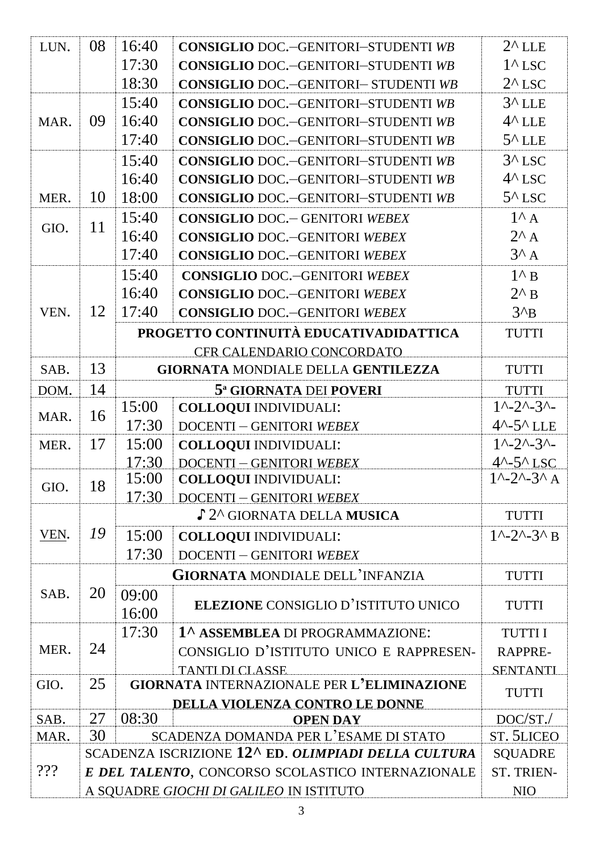| LUN. | 08                                                | 16:40      | <b>CONSIGLIO DOC.-GENITORI-STUDENTI WB</b>          | $2^{\wedge}$ LLE                         |  |
|------|---------------------------------------------------|------------|-----------------------------------------------------|------------------------------------------|--|
|      |                                                   | 17:30      | <b>CONSIGLIO DOC.-GENITORI-STUDENTI WB</b>          | $1^{\wedge}$ LSC                         |  |
|      |                                                   | 18:30      | <b>CONSIGLIO DOC.-GENITORI- STUDENTI WB</b>         | $2^{\wedge}$ LSC                         |  |
|      |                                                   |            |                                                     |                                          |  |
|      |                                                   | 15:40      | <b>CONSIGLIO DOC.-GENITORI-STUDENTI WB</b>          | $3^{\wedge}$ LLE                         |  |
| MAR. | 09                                                | 16:40      | <b>CONSIGLIO DOC.-GENITORI-STUDENTI WB</b>          | $4^{\wedge}$ LLE                         |  |
|      |                                                   | 17:40      | <b>CONSIGLIO DOC.-GENITORI-STUDENTI WB</b>          | $5^{\wedge}$ LLE                         |  |
|      |                                                   | 15:40      | <b>CONSIGLIO DOC.-GENITORI-STUDENTI WB</b>          | $3^{\wedge}$ LSC                         |  |
|      |                                                   | 16:40      | <b>CONSIGLIO DOC.-GENITORI-STUDENTI WB</b>          | $4^{\wedge}$ LSC                         |  |
| MER. | 10                                                | 18:00      | <b>CONSIGLIO DOC.-GENITORI-STUDENTI WB</b>          | $5^{\wedge}$ LSC                         |  |
|      | 11                                                | 15:40      | <b>CONSIGLIO DOC.</b> - GENITORI WEBEX              | $1^{\wedge}$ A                           |  |
| GIO. |                                                   | 16:40      | <b>CONSIGLIO DOC.-GENITORI WEBEX</b>                | $2^{\wedge}$ A                           |  |
|      |                                                   | 17:40      | <b>CONSIGLIO DOC.-GENITORI WEBEX</b>                | $3^A$ A                                  |  |
|      |                                                   | 15:40      | <b>CONSIGLIO DOC.-GENITORI WEBEX</b>                | $1^{\wedge}$ B                           |  |
|      |                                                   | 16:40      | <b>CONSIGLIO DOC.-GENITORI WEBEX</b>                | $2^{\wedge} B$                           |  |
| VEN. | 12                                                | 17:40      | <b>CONSIGLIO DOC.-GENITORI WEBEX</b>                | $3^{\prime}B$                            |  |
|      |                                                   |            | PROGETTO CONTINUITÀ EDUCATIVADIDATTICA              | <b>TUTTI</b>                             |  |
|      |                                                   |            | CFR CALENDARIO CONCORDATO                           |                                          |  |
| SAB. | 13                                                |            | <b>GIORNATA MONDIALE DELLA GENTILEZZA</b>           | <b>TUTTI</b>                             |  |
| DOM. | 14                                                |            | 5 <sup>a</sup> GIORNATA DEI POVERI                  | <b>TUTTI</b>                             |  |
|      |                                                   | 15:00      | <b>COLLOQUI INDIVIDUALI:</b>                        | $1^{\wedge}-2^{\wedge}-3^{\wedge}-$      |  |
| MAR. | 16                                                | 17:30      | <b>DOCENTI - GENITORI WEBEX</b>                     | $4^{\wedge} - 5^{\wedge}$ LLE            |  |
| MER. | 17                                                | 15:00      | <b>COLLOQUI INDIVIDUALI:</b>                        | $1^{\wedge} - 2^{\wedge} - 3^{\wedge} -$ |  |
|      |                                                   | 17:30      | <b>DOCENTI-GENITORI WEBEX</b>                       | $4^{\wedge} - 5^{\wedge}$ LSC            |  |
| GIO. | 18                                                | 15:00      | <b>COLLOQUI INDIVIDUALI:</b>                        | $1^{\wedge} - 2^{\wedge} - 3^{\wedge}$ A |  |
|      |                                                   | 17:30      | <b>DOCENTI-GENITORI WEBEX</b>                       |                                          |  |
|      |                                                   |            | ♪ 2^ GIORNATA DELLA MUSICA                          | <b>TUTTI</b>                             |  |
| VEN. | 19                                                | 15:00      | <b>COLLOQUI INDIVIDUALI:</b>                        | $1^{\wedge} - 2^{\wedge} - 3^{\wedge}$ B |  |
|      |                                                   | 17:30      | <b>DOCENTI - GENITORI WEBEX</b>                     |                                          |  |
|      |                                                   |            | <b>GIORNATA MONDIALE DELL'INFANZIA</b>              | <b>TUTTI</b>                             |  |
| SAB. | 20                                                | 09:00      |                                                     |                                          |  |
|      |                                                   | 16:00      | <b>ELEZIONE CONSIGLIO D'ISTITUTO UNICO</b>          | <b>TUTTI</b>                             |  |
|      |                                                   | 17:30      | 1 <sup>^</sup> ASSEMBLEA DI PROGRAMMAZIONE:         | <b>TUTTII</b>                            |  |
| MER. | 24                                                |            | CONSIGLIO D'ISTITUTO UNICO E RAPPRESEN-             | RAPPRE-                                  |  |
|      |                                                   |            | <b>TANTI DI CLASSE</b>                              | <b>SENTANTI</b>                          |  |
| GIO. | 25                                                |            | <b>GIORNATA INTERNAZIONALE PER L'ELIMINAZIONE</b>   | <b>TUTTI</b>                             |  |
|      |                                                   |            | DELLA VIOLENZA CONTRO LE DONNE                      |                                          |  |
| SAB. | 27                                                | 08:30      | $DOC/ST$ .                                          |                                          |  |
| MAR. | 30                                                |            | SCADENZA DOMANDA PER L'ESAME DI STATO               | <b>ST. 5LICEO</b>                        |  |
|      |                                                   |            | SCADENZA ISCRIZIONE 12^ ED. OLIMPIADI DELLA CULTURA | <b>SQUADRE</b><br>ST. TRIEN-             |  |
| 222  | E DEL TALENTO, CONCORSO SCOLASTICO INTERNAZIONALE |            |                                                     |                                          |  |
|      | A SQUADRE GIOCHI DI GALILEO IN ISTITUTO           | <b>NIO</b> |                                                     |                                          |  |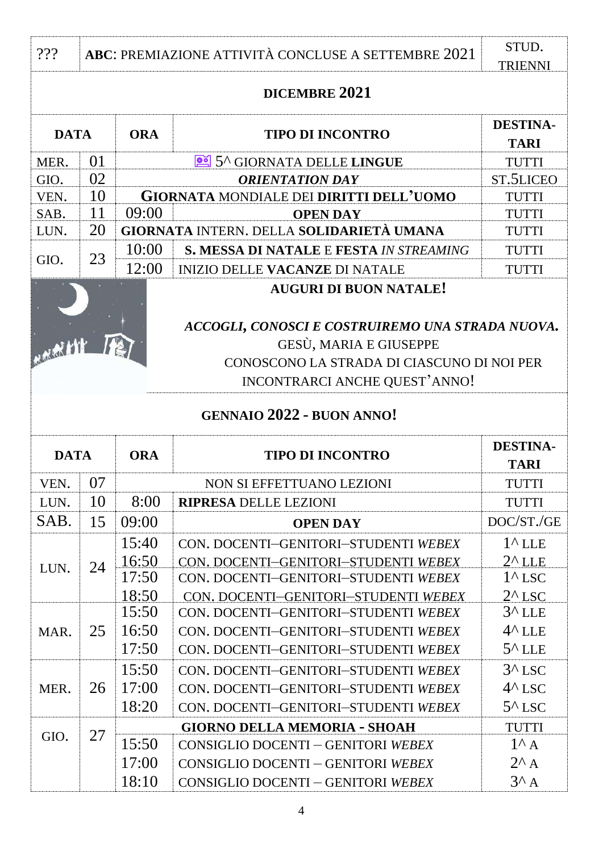| 222                             |                                                                                                                                                           | ABC: PREMIAZIONE ATTIVITÀ CONCLUSE A SETTEMBRE 2021 |                                                                                                                      |                                                          |  |  |  |
|---------------------------------|-----------------------------------------------------------------------------------------------------------------------------------------------------------|-----------------------------------------------------|----------------------------------------------------------------------------------------------------------------------|----------------------------------------------------------|--|--|--|
| <b>TRIENNI</b><br>DICEMBRE 2021 |                                                                                                                                                           |                                                     |                                                                                                                      |                                                          |  |  |  |
| <b>DATA</b>                     |                                                                                                                                                           | <b>ORA</b>                                          | <b>TIPO DI INCONTRO</b>                                                                                              | <b>DESTINA-</b><br><b>TARI</b>                           |  |  |  |
| MER.                            | 01                                                                                                                                                        |                                                     | <b>TUTTI</b>                                                                                                         |                                                          |  |  |  |
| GIO.                            | 02                                                                                                                                                        |                                                     | 5^ GIORNATA DELLE LINGUE<br><b>ORIENTATION DAY</b>                                                                   | ST.5LICEO                                                |  |  |  |
| VEN.                            | 10                                                                                                                                                        |                                                     | <b>GIORNATA MONDIALE DEI DIRITTI DELL'UOMO</b>                                                                       | <b>TUTTI</b>                                             |  |  |  |
| SAB.                            | 11                                                                                                                                                        | 09:00                                               | <b>OPEN DAY</b>                                                                                                      | TUTTI                                                    |  |  |  |
| LUN.                            | 20                                                                                                                                                        |                                                     | <b>GIORNATA INTERN. DELLA SOLIDARIETÀ UMANA</b>                                                                      | TUTTI                                                    |  |  |  |
| GIO.                            | 23                                                                                                                                                        | 10:00                                               | <b>S. MESSA DI NATALE E FESTA IN STREAMING</b>                                                                       | <b>TUTTI</b>                                             |  |  |  |
|                                 |                                                                                                                                                           | 12:00                                               | <b>INIZIO DELLE VACANZE DI NATALE</b>                                                                                | <b>TUTTI</b>                                             |  |  |  |
| Martin                          | <b>AUGURI DI BUON NATALE!</b><br>ACCOGLI, CONOSCI E COSTRUIREMO UNA STRADA NUOVA.<br>GESÙ, MARIA E GIUSEPPE<br>CONOSCONO LA STRADA DI CIASCUNO DI NOI PER |                                                     |                                                                                                                      |                                                          |  |  |  |
|                                 |                                                                                                                                                           |                                                     | INCONTRARCI ANCHE QUEST'ANNO!                                                                                        |                                                          |  |  |  |
|                                 | <b>GENNAIO 2022 - BUON ANNO!</b>                                                                                                                          |                                                     |                                                                                                                      |                                                          |  |  |  |
| <b>DATA</b>                     |                                                                                                                                                           | <b>ORA</b>                                          | <b>TIPO DI INCONTRO</b>                                                                                              | <b>DESTINA-</b><br><b>TARI</b>                           |  |  |  |
| VEN.                            | 07                                                                                                                                                        |                                                     | NON SI EFFETTUANO LEZIONI                                                                                            | TUTTI                                                    |  |  |  |
| LUN.                            | 10                                                                                                                                                        | 8:00                                                | <b>RIPRESA DELLE LEZIONI</b>                                                                                         | <b>TUTTI</b>                                             |  |  |  |
| SAB.                            | 15                                                                                                                                                        | 09:00                                               | <b>OPEN DAY</b>                                                                                                      | DOC/ST./GE                                               |  |  |  |
|                                 |                                                                                                                                                           | 15:40                                               | CON. DOCENTI-GENITORI-STUDENTI WEBEX                                                                                 | $1^{\wedge}$ LLE                                         |  |  |  |
| LUN.                            | 24                                                                                                                                                        | 16:50<br>17:50<br>18:50                             | CON. DOCENTI-GENITORI-STUDENTI WEBEX<br>CON. DOCENTI-GENITORI-STUDENTI WEBEX<br>CON. DOCENTI-GENITORI-STUDENTI WEBEX | $2^{\wedge}$ LLE<br>$1^{\wedge}$ LSC<br>$2^{\wedge}$ LSC |  |  |  |
|                                 |                                                                                                                                                           | 15:50                                               | CON. DOCENTI-GENITORI-STUDENTI WEBEX                                                                                 | $3^{\wedge}$ LLE                                         |  |  |  |
| MAR.                            | 25                                                                                                                                                        | 16:50                                               | CON. DOCENTI-GENITORI-STUDENTI WEBEX                                                                                 | $4^{\wedge}$ LLE                                         |  |  |  |
|                                 |                                                                                                                                                           | 17:50                                               | CON. DOCENTI-GENITORI-STUDENTI WEBEX                                                                                 | $5^{\wedge}$ LLE                                         |  |  |  |
|                                 |                                                                                                                                                           | 15:50                                               | CON. DOCENTI-GENITORI-STUDENTI WEBEX                                                                                 | $3^{\wedge}$ LSC                                         |  |  |  |
| MER.                            | 26                                                                                                                                                        | 17:00                                               | CON. DOCENTI-GENITORI-STUDENTI WEBEX                                                                                 | $4^{\wedge}$ LSC                                         |  |  |  |
|                                 |                                                                                                                                                           | 18:20                                               | CON. DOCENTI-GENITORI-STUDENTI WEBEX                                                                                 | $5^{\wedge}$ LSC                                         |  |  |  |
|                                 |                                                                                                                                                           |                                                     | <b>GIORNO DELLA MEMORIA - SHOAH</b>                                                                                  | <b>TUTTI</b>                                             |  |  |  |
| GIO.                            | 27                                                                                                                                                        | 15:50                                               | CONSIGLIO DOCENTI - GENITORI WEBEX                                                                                   | $1^{\wedge}$ A                                           |  |  |  |
|                                 |                                                                                                                                                           | 17:00                                               | CONSIGLIO DOCENTI - GENITORI WEBEX                                                                                   | $2^{\wedge}$ A                                           |  |  |  |
|                                 |                                                                                                                                                           | 18:10                                               | CONSIGLIO DOCENTI - GENITORI WEBEX                                                                                   | $3^A$ A                                                  |  |  |  |
|                                 |                                                                                                                                                           |                                                     |                                                                                                                      |                                                          |  |  |  |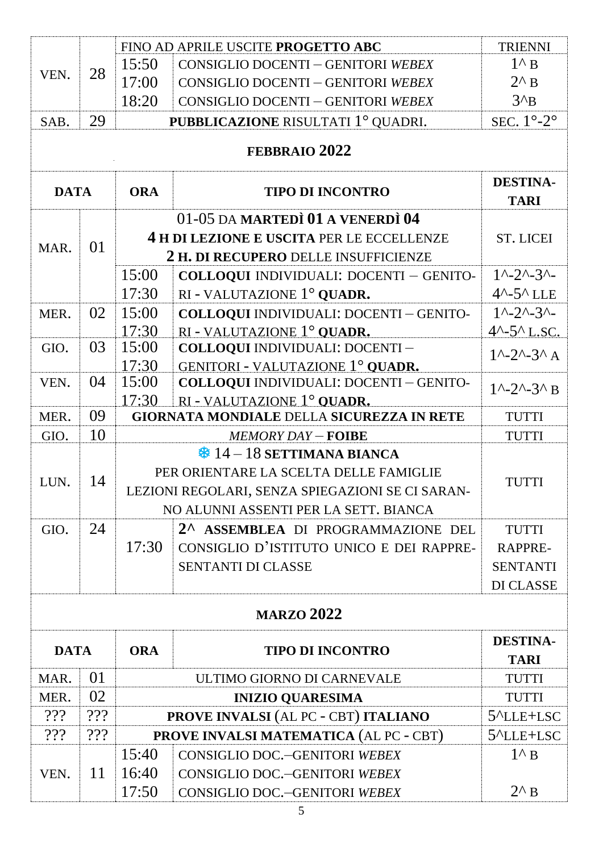|             |                   |            | FINO AD APRILE USCITE PROGETTO ABC                                             | <b>TRIENNI</b>                           |  |  |  |
|-------------|-------------------|------------|--------------------------------------------------------------------------------|------------------------------------------|--|--|--|
| VEN.        | 28                | 15:50      | CONSIGLIO DOCENTI - GENITORI WEBEX                                             | $1^{\wedge}$ B                           |  |  |  |
|             |                   | 17:00      | CONSIGLIO DOCENTI - GENITORI WEBEX                                             | $2^{\wedge}$ B                           |  |  |  |
|             |                   | 18:20      | <b>CONSIGLIO DOCENTI - GENITORI WEBEX</b>                                      | $3^{\prime}B$                            |  |  |  |
| SAB.        | 29                |            | PUBBLICAZIONE RISULTATI 1° QUADRI.                                             | SEC. $1^\circ$ -2 $^\circ$               |  |  |  |
|             |                   |            | <b>FEBBRAIO 2022</b>                                                           |                                          |  |  |  |
| <b>DATA</b> |                   | <b>ORA</b> | <b>TIPO DI INCONTRO</b>                                                        | <b>DESTINA-</b><br><b>TARI</b>           |  |  |  |
|             |                   |            | 01-05 DA MARTEDÌ 01 A VENERDÌ 04                                               |                                          |  |  |  |
|             |                   |            | 4 H DI LEZIONE E USCITA PER LE ECCELLENZE                                      | <b>ST. LICEI</b>                         |  |  |  |
| MAR.        | 01                |            | 2 H. DI RECUPERO DELLE INSUFFICIENZE                                           |                                          |  |  |  |
|             |                   | 15:00      | <b>COLLOQUI INDIVIDUALI: DOCENTI - GENITO-</b>                                 | $1^{\wedge}-2^{\wedge}-3^{\wedge}-$      |  |  |  |
|             |                   | 17:30      | RI - VALUTAZIONE 1º QUADR.                                                     | $4^{\sim}$ -5 $^{\sim}$ LLE              |  |  |  |
| MER.        | 02                | 15:00      | <b>COLLOQUI INDIVIDUALI: DOCENTI - GENITO-</b>                                 | $1^{\wedge}-2^{\wedge}-3^{\wedge}-$      |  |  |  |
|             |                   | 17:30      | RI - VALUTAZIONE 1° OUADR.                                                     | $4^{\wedge} - 5^{\wedge}$ L.SC.          |  |  |  |
| GIO.        | 03                | 15:00      | COLLOQUI INDIVIDUALI: DOCENTI -                                                | $1^{\wedge} - 2^{\wedge} - 3^{\wedge}$ A |  |  |  |
|             |                   | 17:30      | GENITORI - VALUTAZIONE 1° OUADR.                                               |                                          |  |  |  |
| VEN.        | 04                | 15:00      | COLLOQUI INDIVIDUALI: DOCENTI - GENITO-                                        | $1^{\wedge}-2^{\wedge}-3^{\wedge} B$     |  |  |  |
|             |                   | 17:30      | RI - VALUTAZIONE 1° QUADR.<br><b>GIORNATA MONDIALE DELLA SICUREZZA IN RETE</b> |                                          |  |  |  |
| MER.        | 09                |            | <b>TUTTI</b>                                                                   |                                          |  |  |  |
| GIO.        | 10                |            | <b>TUTTI</b>                                                                   |                                          |  |  |  |
|             |                   |            | $\frac{14}{14}$ 14 – 18 SETTIMANA BIANCA                                       |                                          |  |  |  |
| LUN.        | 14                |            | PER ORIENTARE LA SCELTA DELLE FAMIGLIE                                         | TUTTI                                    |  |  |  |
|             |                   |            | LEZIONI REGOLARI, SENZA SPIEGAZIONI SE CI SARAN-                               |                                          |  |  |  |
|             |                   |            | NO ALUNNI ASSENTI PER LA SETT. BIANCA                                          |                                          |  |  |  |
| GIO.        | 24                |            | 2^ ASSEMBLEA DI PROGRAMMAZIONE DEL                                             | <b>TUTTI</b>                             |  |  |  |
|             |                   | 17:30      | CONSIGLIO D'ISTITUTO UNICO E DEI RAPPRE-                                       | RAPPRE-                                  |  |  |  |
|             |                   |            | <b>SENTANTI DI CLASSE</b>                                                      | <b>SENTANTI</b>                          |  |  |  |
|             |                   |            |                                                                                | DI CLASSE                                |  |  |  |
|             | <b>MARZO 2022</b> |            |                                                                                |                                          |  |  |  |
| <b>DATA</b> |                   | <b>ORA</b> | <b>TIPO DI INCONTRO</b>                                                        | <b>DESTINA-</b>                          |  |  |  |
|             |                   |            |                                                                                | <b>TARI</b>                              |  |  |  |
| MAR.        | 01                |            | ULTIMO GIORNO DI CARNEVALE                                                     | <b>TUTTI</b>                             |  |  |  |
| MER.        | 02                |            | <b>TUTTI</b>                                                                   |                                          |  |  |  |
| 222         | 222               |            | PROVE INVALSI (AL PC - CBT) ITALIANO                                           | $5^{\prime}$ LLE+LSC                     |  |  |  |
| 222         | 222               |            | <b>PROVE INVALSI MATEMATICA (AL PC - CBT)</b>                                  | $5^{\prime}$ LLE+LSC                     |  |  |  |
|             |                   | 15:40      | CONSIGLIO DOC.-GENITORI WEBEX                                                  | $1^{\wedge} B$                           |  |  |  |
| VEN.        | 11                | 16:40      | CONSIGLIO DOC.-GENITORI WEBEX                                                  |                                          |  |  |  |
|             |                   | 17:50      | CONSIGLIO DOC.-GENITORI WEBEX                                                  | $2^{\wedge} B$                           |  |  |  |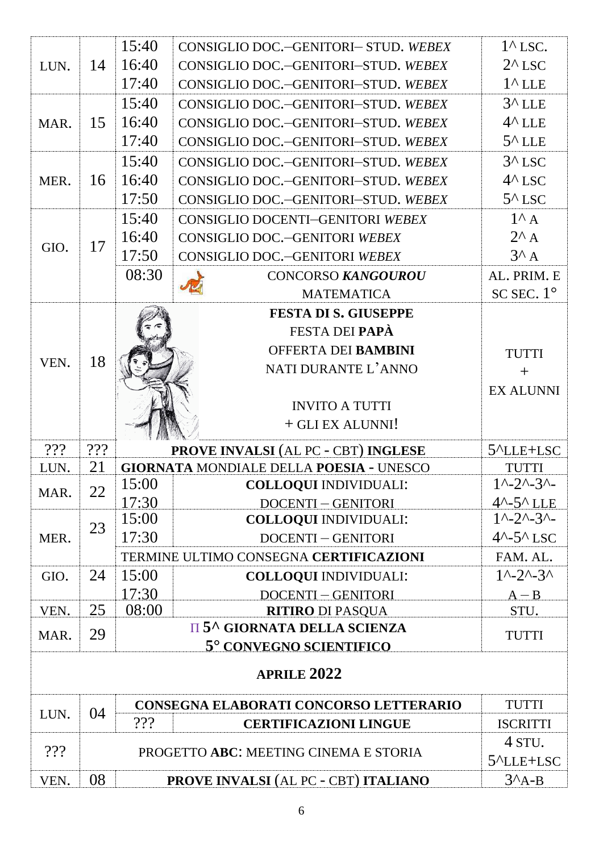|      |     | 15:40 | CONSIGLIO DOC.-GENITORI- STUD. WEBEX                                      | $1^{\wedge}$ LSC.                   |  |  |
|------|-----|-------|---------------------------------------------------------------------------|-------------------------------------|--|--|
| LUN. | 14  | 16:40 | CONSIGLIO DOC.-GENITORI-STUD. WEBEX                                       | $2^{\wedge}$ LSC                    |  |  |
|      |     | 17:40 | CONSIGLIO DOC.-GENITORI-STUD. WEBEX                                       | $1^{\wedge}$ LLE                    |  |  |
|      |     | 15:40 | CONSIGLIO DOC.-GENITORI-STUD. WEBEX                                       | $3^{\wedge}$ LLE                    |  |  |
| MAR. | 15  | 16:40 | CONSIGLIO DOC.-GENITORI-STUD. WEBEX                                       | $4^{\wedge}$ LLE                    |  |  |
|      |     | 17:40 | CONSIGLIO DOC.-GENITORI-STUD. WEBEX                                       | $5^{\wedge}$ LLE                    |  |  |
|      |     | 15:40 | CONSIGLIO DOC.-GENITORI-STUD. WEBEX                                       | $3^{\wedge}$ LSC                    |  |  |
| MER. | 16  | 16:40 | CONSIGLIO DOC.-GENITORI-STUD. WEBEX                                       | $4^{\wedge}$ LSC                    |  |  |
|      |     | 17:50 | CONSIGLIO DOC.-GENITORI-STUD. WEBEX                                       | $5^{\wedge}$ LSC                    |  |  |
|      |     | 15:40 | CONSIGLIO DOCENTI-GENITORI WEBEX                                          | $1^{\wedge}$ A                      |  |  |
|      |     | 16:40 | CONSIGLIO DOC.-GENITORI WEBEX                                             | $2^{\wedge}$ A                      |  |  |
| GIO. | 17  | 17:50 | CONSIGLIO DOC.-GENITORI WEBEX                                             | $3^A$ A                             |  |  |
|      |     | 08:30 | <b>CONCORSO KANGOUROU</b>                                                 | AL. PRIM. E                         |  |  |
|      |     |       | <b>MATEMATICA</b>                                                         | SC SEC. $1^{\circ}$                 |  |  |
|      |     |       | <b>FESTA DI S. GIUSEPPE</b>                                               |                                     |  |  |
|      |     |       | <b>FESTA DEI PAPÀ</b>                                                     |                                     |  |  |
|      |     |       | OFFERTA DEI BAMBINI                                                       | <b>TUTTI</b>                        |  |  |
| VEN. | 18  |       | NATI DURANTE L'ANNO                                                       | $+$                                 |  |  |
|      |     |       |                                                                           | <b>EX ALUNNI</b>                    |  |  |
|      |     |       | <b>INVITO A TUTTI</b>                                                     |                                     |  |  |
|      |     |       | + GLI EX ALUNNI!                                                          |                                     |  |  |
| 222  | 222 |       | <b>PROVE INVALSI (AL PC - CBT) INGLESE</b>                                |                                     |  |  |
| LUN. | 21  |       | <b>GIORNATA MONDIALE DELLA POESIA - UNESCO</b>                            | <b>TUTTI</b>                        |  |  |
| MAR. | 22  | 15:00 | <b>COLLOQUI INDIVIDUALI:</b>                                              | $1^{\sim}2^{\sim}3^{\sim}$          |  |  |
|      |     | 17:30 | <b>DOCENTI-GENITORI</b>                                                   | $4^{\sim}$ -5 $^{\sim}$ LLE         |  |  |
|      | 23  | 15:00 | <b>COLLOQUI INDIVIDUALI:</b>                                              | $1^{\wedge}-2^{\wedge}-3^{\wedge}-$ |  |  |
| MER. |     | 17:30 | <b>DOCENTI-GENITORI</b>                                                   | $4^{\wedge} - 5^{\wedge}$ LSC       |  |  |
|      |     |       | TERMINE ULTIMO CONSEGNA CERTIFICAZIONI                                    | FAM. AL.                            |  |  |
| GIO. | 24  | 15:00 | <b>COLLOQUI INDIVIDUALI:</b>                                              | $1^{\sim}2^{\sim}3^{\sim}$          |  |  |
|      |     | 17:30 | <b>DOCENTI-GENITORI</b>                                                   | $A - B$                             |  |  |
| VEN. | 25  | 08:00 | <b>RITIRO DI PASQUA</b><br><b>II 5<sup>^</sup> GIORNATA DELLA SCIENZA</b> | STU.                                |  |  |
| MAR. | 29  |       | 5° CONVEGNO SCIENTIFICO                                                   | <b>TUTTI</b>                        |  |  |
|      |     |       | <b>APRILE 2022</b>                                                        |                                     |  |  |
|      |     |       |                                                                           |                                     |  |  |
| LUN. | 04  |       | CONSEGNA ELABORATI CONCORSO LETTERARIO                                    | <b>TUTTI</b>                        |  |  |
|      |     | 222   | <b>CERTIFICAZIONI LINGUE</b>                                              | <b>ISCRITTI</b>                     |  |  |
| 222  |     |       | PROGETTO ABC: MEETING CINEMA E STORIA                                     | 4 STU.                              |  |  |
|      |     |       |                                                                           | 5 <sup>^</sup> LLE+LSC              |  |  |
| VEN. | 08  |       | <b>PROVE INVALSI (AL PC - CBT) ITALIANO</b>                               | $3^A$ A-B                           |  |  |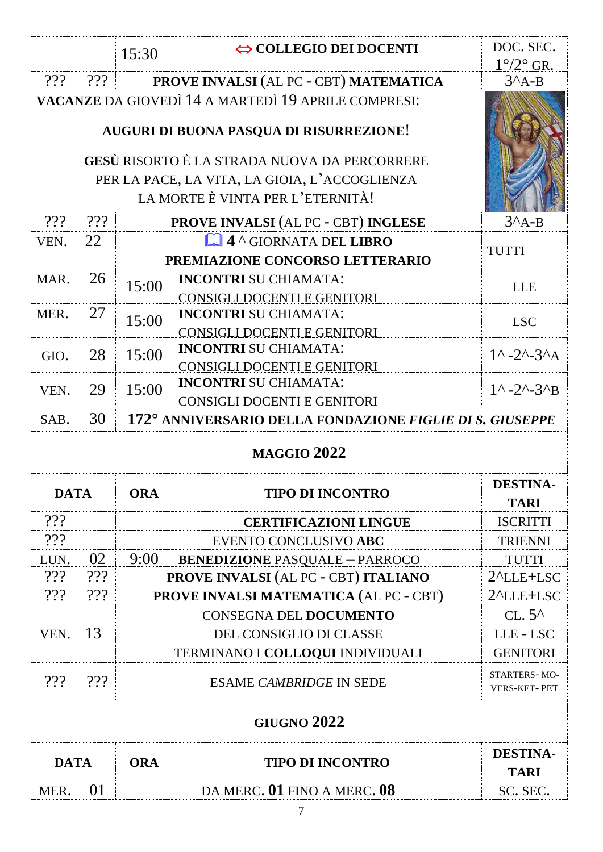|                    |                                                                                                                                          | 15:30      | $\Leftrightarrow$ COLLEGIO DEI DOCENTI                                                            | DOC. SEC.<br>$1^{\circ}/2^{\circ}$ GR.   |  |  |  |  |
|--------------------|------------------------------------------------------------------------------------------------------------------------------------------|------------|---------------------------------------------------------------------------------------------------|------------------------------------------|--|--|--|--|
| 222                | 222                                                                                                                                      |            | PROVE INVALSI (AL PC - CBT) MATEMATICA                                                            | $3^A$ A-B                                |  |  |  |  |
|                    |                                                                                                                                          |            | VACANZE DA GIOVEDÌ 14 A MARTEDÌ 19 APRILE COMPRESI:<br>AUGURI DI BUONA PASQUA DI RISURREZIONE!    |                                          |  |  |  |  |
|                    | <b>GESÙ RISORTO È LA STRADA NUOVA DA PERCORRERE</b><br>PER LA PACE, LA VITA, LA GIOIA, L'ACCOGLIENZA<br>LA MORTE È VINTA PER L'ETERNITÀ! |            |                                                                                                   |                                          |  |  |  |  |
| 222                | 222                                                                                                                                      |            | <b>PROVE INVALSI (AL PC - CBT) INGLESE</b>                                                        | $3^A$ A-B                                |  |  |  |  |
| VEN.               | 22                                                                                                                                       |            | <b>Let 4 ^ GIORNATA DEL LIBRO</b><br>PREMIAZIONE CONCORSO LETTERARIO                              | <b>TUTTI</b>                             |  |  |  |  |
| MAR.               | 26                                                                                                                                       | 15:00      | <b>INCONTRI SU CHIAMATA:</b>                                                                      | <b>LLE</b>                               |  |  |  |  |
| MER.               | 27                                                                                                                                       | 15:00      | <b>CONSIGLI DOCENTI E GENITORI</b><br><b>INCONTRI SU CHIAMATA:</b>                                | <b>LSC</b>                               |  |  |  |  |
| GIO.               | 28                                                                                                                                       | 15:00      | CONSIGLI DOCENTI E GENITORI<br><b>INCONTRI SU CHIAMATA:</b><br><b>CONSIGLI DOCENTI E GENITORI</b> | $1^{\wedge} - 2^{\wedge} - 3^{\wedge}$ A |  |  |  |  |
| VEN.               | 29                                                                                                                                       | 15:00      | <b>INCONTRI SU CHIAMATA:</b><br>CONSIGLI DOCENTI E GENITORI                                       | $1^{\wedge} - 2^{\wedge} - 3^{\wedge}B$  |  |  |  |  |
| SAB.               | 30                                                                                                                                       |            | 172° ANNIVERSARIO DELLA FONDAZIONE FIGLIE DI S. GIUSEPPE                                          |                                          |  |  |  |  |
|                    | <b>MAGGIO 2022</b>                                                                                                                       |            |                                                                                                   |                                          |  |  |  |  |
| <b>DATA</b>        |                                                                                                                                          | <b>ORA</b> | <b>TIPO DI INCONTRO</b>                                                                           | <b>DESTINA-</b><br><b>TARI</b>           |  |  |  |  |
| 222                |                                                                                                                                          |            | <b>CERTIFICAZIONI LINGUE</b>                                                                      | <b>ISCRITTI</b>                          |  |  |  |  |
| 222                |                                                                                                                                          |            | EVENTO CONCLUSIVO ABC                                                                             | <b>TRIENNI</b>                           |  |  |  |  |
| LUN.               | 02                                                                                                                                       | 9:00       | <b>BENEDIZIONE PASQUALE - PARROCO</b>                                                             | <b>TUTTI</b>                             |  |  |  |  |
| 222                | 222                                                                                                                                      |            | PROVE INVALSI (AL PC - CBT) ITALIANO                                                              | $2^{\Lambda}$ LLE+LSC                    |  |  |  |  |
| 222                | 222                                                                                                                                      |            | <b>PROVE INVALSI MATEMATICA (AL PC - CBT)</b>                                                     | $2^{\Lambda}$ LLE+LSC                    |  |  |  |  |
|                    |                                                                                                                                          |            | <b>CONSEGNA DEL DOCUMENTO</b>                                                                     | $CL.5^$                                  |  |  |  |  |
| VEN.               | 13                                                                                                                                       |            | DEL CONSIGLIO DI CLASSE                                                                           | LLE-LSC                                  |  |  |  |  |
|                    |                                                                                                                                          |            | TERMINANO I COLLOQUI INDIVIDUALI                                                                  | <b>GENITORI</b>                          |  |  |  |  |
| 222                | 222                                                                                                                                      |            | STARTERS-MO-<br>VERS-KET-PET                                                                      |                                          |  |  |  |  |
| <b>GIUGNO 2022</b> |                                                                                                                                          |            |                                                                                                   |                                          |  |  |  |  |
|                    |                                                                                                                                          |            |                                                                                                   |                                          |  |  |  |  |
| <b>DATA</b>        |                                                                                                                                          | <b>ORA</b> | <b>TIPO DI INCONTRO</b>                                                                           | <b>DESTINA-</b><br><b>TARI</b>           |  |  |  |  |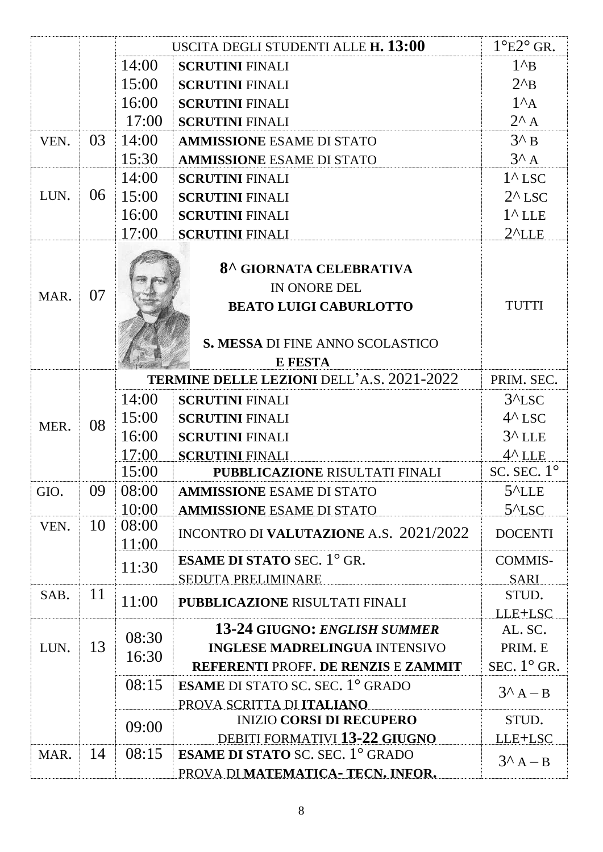| 14:00<br>$1^{\wedge}B$<br><b>SCRUTINI FINALI</b><br>15:00<br>$2^{\wedge}B$<br><b>SCRUTINI FINALI</b><br>16:00<br>$1^A$ A<br><b>SCRUTINI FINALI</b><br>$2^{\wedge}$ A<br>17:00<br><b>SCRUTINI FINALI</b><br>$3^{\wedge}$ B<br>03<br>14:00<br>VEN.<br><b>AMMISSIONE ESAME DI STATO</b><br>$3^A$ A<br>15:30<br><b>AMMISSIONE ESAME DI STATO</b><br>14:00<br>$1^{\wedge}$ LSC<br><b>SCRUTINI FINALI</b><br>06<br>LUN.<br>15:00<br>$2^{\wedge}$ LSC<br><b>SCRUTINI FINALI</b><br>16:00<br>$1^{\wedge}$ LLE<br><b>SCRUTINI FINALI</b><br>17:00<br>$2^{\prime}$ LLE<br><b>SCRUTINI FINALI</b><br>8^ GIORNATA CELEBRATIVA<br>IN ONORE DEL<br>07<br>MAR.<br><b>TUTTI</b><br><b>BEATO LUIGI CABURLOTTO</b><br>S. MESSA DI FINE ANNO SCOLASTICO<br><b>E FESTA</b><br><b>TERMINE DELLE LEZIONI DELL'A.S. 2021-2022</b><br>PRIM. SEC.<br>14:00<br>$3^{\prime}$ LSC<br><b>SCRUTINI FINALI</b><br>$4^{\wedge}$ LSC<br>15:00<br><b>SCRUTINI FINALI</b><br>08<br>MER.<br>16:00<br>$3^{\wedge}$ LLE<br><b>SCRUTINI FINALI</b><br>17:00<br>$4^{\wedge}$ LLE<br><b>SCRUTINI FINALI</b><br>SC. SEC. $1^\circ$<br>15:00<br><b>PUBBLICAZIONE RISULTATI FINALI</b><br>09<br>08:00<br>$5^{\prime}$ LLE<br>GIO.<br><b>AMMISSIONE ESAME DI STATO</b><br>10:00<br>$5^{\prime}$ LSC<br><b>AMMISSIONE ESAME DI STATO</b><br>10<br>08:00<br>VEN.<br>INCONTRO DI VALUTAZIONE A.S. 2021/2022<br><b>DOCENTI</b><br>11:00<br><b>ESAME DI STATO SEC.</b> $1^{\circ}$ GR.<br><b>COMMIS-</b><br>11:30<br><b>SEDUTA PRELIMINARE</b><br><b>SARI</b><br>11<br>SAB.<br>STUD.<br>11:00<br><b>PUBBLICAZIONE RISULTATI FINALI</b><br>LLE+LSC<br><b>13-24 GIUGNO: ENGLISH SUMMER</b><br>AL. SC.<br>08:30<br>13<br>PRIM. E<br>LUN.<br><b>INGLESE MADRELINGUA INTENSIVO</b><br>16:30<br>SEC. $1^{\circ}$ GR.<br><b>REFERENTI PROFF. DE RENZIS E ZAMMIT</b><br>08:15<br><b>ESAME</b> DI STATO SC. SEC. $1^{\circ}$ GRADO<br>$3^A A - B$<br>PROVA SCRITTA DI ITALIANO<br><b>INIZIO CORSI DI RECUPERO</b><br>STUD. |  |  |       | USCITA DEGLI STUDENTI ALLE H. 13:00 | $1^{\circ}E2^{\circ}$ GR. |  |
|-----------------------------------------------------------------------------------------------------------------------------------------------------------------------------------------------------------------------------------------------------------------------------------------------------------------------------------------------------------------------------------------------------------------------------------------------------------------------------------------------------------------------------------------------------------------------------------------------------------------------------------------------------------------------------------------------------------------------------------------------------------------------------------------------------------------------------------------------------------------------------------------------------------------------------------------------------------------------------------------------------------------------------------------------------------------------------------------------------------------------------------------------------------------------------------------------------------------------------------------------------------------------------------------------------------------------------------------------------------------------------------------------------------------------------------------------------------------------------------------------------------------------------------------------------------------------------------------------------------------------------------------------------------------------------------------------------------------------------------------------------------------------------------------------------------------------------------------------------------------------------------------------------------------------------------------------------------------|--|--|-------|-------------------------------------|---------------------------|--|
|                                                                                                                                                                                                                                                                                                                                                                                                                                                                                                                                                                                                                                                                                                                                                                                                                                                                                                                                                                                                                                                                                                                                                                                                                                                                                                                                                                                                                                                                                                                                                                                                                                                                                                                                                                                                                                                                                                                                                                 |  |  |       |                                     |                           |  |
|                                                                                                                                                                                                                                                                                                                                                                                                                                                                                                                                                                                                                                                                                                                                                                                                                                                                                                                                                                                                                                                                                                                                                                                                                                                                                                                                                                                                                                                                                                                                                                                                                                                                                                                                                                                                                                                                                                                                                                 |  |  |       |                                     |                           |  |
|                                                                                                                                                                                                                                                                                                                                                                                                                                                                                                                                                                                                                                                                                                                                                                                                                                                                                                                                                                                                                                                                                                                                                                                                                                                                                                                                                                                                                                                                                                                                                                                                                                                                                                                                                                                                                                                                                                                                                                 |  |  |       |                                     |                           |  |
|                                                                                                                                                                                                                                                                                                                                                                                                                                                                                                                                                                                                                                                                                                                                                                                                                                                                                                                                                                                                                                                                                                                                                                                                                                                                                                                                                                                                                                                                                                                                                                                                                                                                                                                                                                                                                                                                                                                                                                 |  |  |       |                                     |                           |  |
|                                                                                                                                                                                                                                                                                                                                                                                                                                                                                                                                                                                                                                                                                                                                                                                                                                                                                                                                                                                                                                                                                                                                                                                                                                                                                                                                                                                                                                                                                                                                                                                                                                                                                                                                                                                                                                                                                                                                                                 |  |  |       |                                     |                           |  |
|                                                                                                                                                                                                                                                                                                                                                                                                                                                                                                                                                                                                                                                                                                                                                                                                                                                                                                                                                                                                                                                                                                                                                                                                                                                                                                                                                                                                                                                                                                                                                                                                                                                                                                                                                                                                                                                                                                                                                                 |  |  |       |                                     |                           |  |
|                                                                                                                                                                                                                                                                                                                                                                                                                                                                                                                                                                                                                                                                                                                                                                                                                                                                                                                                                                                                                                                                                                                                                                                                                                                                                                                                                                                                                                                                                                                                                                                                                                                                                                                                                                                                                                                                                                                                                                 |  |  |       |                                     |                           |  |
|                                                                                                                                                                                                                                                                                                                                                                                                                                                                                                                                                                                                                                                                                                                                                                                                                                                                                                                                                                                                                                                                                                                                                                                                                                                                                                                                                                                                                                                                                                                                                                                                                                                                                                                                                                                                                                                                                                                                                                 |  |  |       |                                     |                           |  |
|                                                                                                                                                                                                                                                                                                                                                                                                                                                                                                                                                                                                                                                                                                                                                                                                                                                                                                                                                                                                                                                                                                                                                                                                                                                                                                                                                                                                                                                                                                                                                                                                                                                                                                                                                                                                                                                                                                                                                                 |  |  |       |                                     |                           |  |
|                                                                                                                                                                                                                                                                                                                                                                                                                                                                                                                                                                                                                                                                                                                                                                                                                                                                                                                                                                                                                                                                                                                                                                                                                                                                                                                                                                                                                                                                                                                                                                                                                                                                                                                                                                                                                                                                                                                                                                 |  |  |       |                                     |                           |  |
|                                                                                                                                                                                                                                                                                                                                                                                                                                                                                                                                                                                                                                                                                                                                                                                                                                                                                                                                                                                                                                                                                                                                                                                                                                                                                                                                                                                                                                                                                                                                                                                                                                                                                                                                                                                                                                                                                                                                                                 |  |  |       |                                     |                           |  |
|                                                                                                                                                                                                                                                                                                                                                                                                                                                                                                                                                                                                                                                                                                                                                                                                                                                                                                                                                                                                                                                                                                                                                                                                                                                                                                                                                                                                                                                                                                                                                                                                                                                                                                                                                                                                                                                                                                                                                                 |  |  |       |                                     |                           |  |
|                                                                                                                                                                                                                                                                                                                                                                                                                                                                                                                                                                                                                                                                                                                                                                                                                                                                                                                                                                                                                                                                                                                                                                                                                                                                                                                                                                                                                                                                                                                                                                                                                                                                                                                                                                                                                                                                                                                                                                 |  |  |       |                                     |                           |  |
|                                                                                                                                                                                                                                                                                                                                                                                                                                                                                                                                                                                                                                                                                                                                                                                                                                                                                                                                                                                                                                                                                                                                                                                                                                                                                                                                                                                                                                                                                                                                                                                                                                                                                                                                                                                                                                                                                                                                                                 |  |  |       |                                     |                           |  |
|                                                                                                                                                                                                                                                                                                                                                                                                                                                                                                                                                                                                                                                                                                                                                                                                                                                                                                                                                                                                                                                                                                                                                                                                                                                                                                                                                                                                                                                                                                                                                                                                                                                                                                                                                                                                                                                                                                                                                                 |  |  |       |                                     |                           |  |
|                                                                                                                                                                                                                                                                                                                                                                                                                                                                                                                                                                                                                                                                                                                                                                                                                                                                                                                                                                                                                                                                                                                                                                                                                                                                                                                                                                                                                                                                                                                                                                                                                                                                                                                                                                                                                                                                                                                                                                 |  |  |       |                                     |                           |  |
|                                                                                                                                                                                                                                                                                                                                                                                                                                                                                                                                                                                                                                                                                                                                                                                                                                                                                                                                                                                                                                                                                                                                                                                                                                                                                                                                                                                                                                                                                                                                                                                                                                                                                                                                                                                                                                                                                                                                                                 |  |  |       |                                     |                           |  |
|                                                                                                                                                                                                                                                                                                                                                                                                                                                                                                                                                                                                                                                                                                                                                                                                                                                                                                                                                                                                                                                                                                                                                                                                                                                                                                                                                                                                                                                                                                                                                                                                                                                                                                                                                                                                                                                                                                                                                                 |  |  |       |                                     |                           |  |
|                                                                                                                                                                                                                                                                                                                                                                                                                                                                                                                                                                                                                                                                                                                                                                                                                                                                                                                                                                                                                                                                                                                                                                                                                                                                                                                                                                                                                                                                                                                                                                                                                                                                                                                                                                                                                                                                                                                                                                 |  |  |       |                                     |                           |  |
|                                                                                                                                                                                                                                                                                                                                                                                                                                                                                                                                                                                                                                                                                                                                                                                                                                                                                                                                                                                                                                                                                                                                                                                                                                                                                                                                                                                                                                                                                                                                                                                                                                                                                                                                                                                                                                                                                                                                                                 |  |  |       |                                     |                           |  |
|                                                                                                                                                                                                                                                                                                                                                                                                                                                                                                                                                                                                                                                                                                                                                                                                                                                                                                                                                                                                                                                                                                                                                                                                                                                                                                                                                                                                                                                                                                                                                                                                                                                                                                                                                                                                                                                                                                                                                                 |  |  |       |                                     |                           |  |
|                                                                                                                                                                                                                                                                                                                                                                                                                                                                                                                                                                                                                                                                                                                                                                                                                                                                                                                                                                                                                                                                                                                                                                                                                                                                                                                                                                                                                                                                                                                                                                                                                                                                                                                                                                                                                                                                                                                                                                 |  |  |       |                                     |                           |  |
|                                                                                                                                                                                                                                                                                                                                                                                                                                                                                                                                                                                                                                                                                                                                                                                                                                                                                                                                                                                                                                                                                                                                                                                                                                                                                                                                                                                                                                                                                                                                                                                                                                                                                                                                                                                                                                                                                                                                                                 |  |  |       |                                     |                           |  |
|                                                                                                                                                                                                                                                                                                                                                                                                                                                                                                                                                                                                                                                                                                                                                                                                                                                                                                                                                                                                                                                                                                                                                                                                                                                                                                                                                                                                                                                                                                                                                                                                                                                                                                                                                                                                                                                                                                                                                                 |  |  |       |                                     |                           |  |
|                                                                                                                                                                                                                                                                                                                                                                                                                                                                                                                                                                                                                                                                                                                                                                                                                                                                                                                                                                                                                                                                                                                                                                                                                                                                                                                                                                                                                                                                                                                                                                                                                                                                                                                                                                                                                                                                                                                                                                 |  |  |       |                                     |                           |  |
|                                                                                                                                                                                                                                                                                                                                                                                                                                                                                                                                                                                                                                                                                                                                                                                                                                                                                                                                                                                                                                                                                                                                                                                                                                                                                                                                                                                                                                                                                                                                                                                                                                                                                                                                                                                                                                                                                                                                                                 |  |  |       |                                     |                           |  |
|                                                                                                                                                                                                                                                                                                                                                                                                                                                                                                                                                                                                                                                                                                                                                                                                                                                                                                                                                                                                                                                                                                                                                                                                                                                                                                                                                                                                                                                                                                                                                                                                                                                                                                                                                                                                                                                                                                                                                                 |  |  |       |                                     |                           |  |
|                                                                                                                                                                                                                                                                                                                                                                                                                                                                                                                                                                                                                                                                                                                                                                                                                                                                                                                                                                                                                                                                                                                                                                                                                                                                                                                                                                                                                                                                                                                                                                                                                                                                                                                                                                                                                                                                                                                                                                 |  |  |       |                                     |                           |  |
|                                                                                                                                                                                                                                                                                                                                                                                                                                                                                                                                                                                                                                                                                                                                                                                                                                                                                                                                                                                                                                                                                                                                                                                                                                                                                                                                                                                                                                                                                                                                                                                                                                                                                                                                                                                                                                                                                                                                                                 |  |  |       |                                     |                           |  |
|                                                                                                                                                                                                                                                                                                                                                                                                                                                                                                                                                                                                                                                                                                                                                                                                                                                                                                                                                                                                                                                                                                                                                                                                                                                                                                                                                                                                                                                                                                                                                                                                                                                                                                                                                                                                                                                                                                                                                                 |  |  |       |                                     |                           |  |
|                                                                                                                                                                                                                                                                                                                                                                                                                                                                                                                                                                                                                                                                                                                                                                                                                                                                                                                                                                                                                                                                                                                                                                                                                                                                                                                                                                                                                                                                                                                                                                                                                                                                                                                                                                                                                                                                                                                                                                 |  |  |       |                                     |                           |  |
|                                                                                                                                                                                                                                                                                                                                                                                                                                                                                                                                                                                                                                                                                                                                                                                                                                                                                                                                                                                                                                                                                                                                                                                                                                                                                                                                                                                                                                                                                                                                                                                                                                                                                                                                                                                                                                                                                                                                                                 |  |  |       |                                     |                           |  |
|                                                                                                                                                                                                                                                                                                                                                                                                                                                                                                                                                                                                                                                                                                                                                                                                                                                                                                                                                                                                                                                                                                                                                                                                                                                                                                                                                                                                                                                                                                                                                                                                                                                                                                                                                                                                                                                                                                                                                                 |  |  |       |                                     |                           |  |
| DEBITI FORMATIVI 13-22 GIUGNO                                                                                                                                                                                                                                                                                                                                                                                                                                                                                                                                                                                                                                                                                                                                                                                                                                                                                                                                                                                                                                                                                                                                                                                                                                                                                                                                                                                                                                                                                                                                                                                                                                                                                                                                                                                                                                                                                                                                   |  |  | 09:00 |                                     |                           |  |
| LLE+LSC<br>08:15<br><b>ESAME DI STATO SC. SEC. 1° GRADO</b><br>14<br>MAR.                                                                                                                                                                                                                                                                                                                                                                                                                                                                                                                                                                                                                                                                                                                                                                                                                                                                                                                                                                                                                                                                                                                                                                                                                                                                                                                                                                                                                                                                                                                                                                                                                                                                                                                                                                                                                                                                                       |  |  |       |                                     |                           |  |
| $3^A A - B$<br>PROVA DI MATEMATICA- TECN. INFOR.                                                                                                                                                                                                                                                                                                                                                                                                                                                                                                                                                                                                                                                                                                                                                                                                                                                                                                                                                                                                                                                                                                                                                                                                                                                                                                                                                                                                                                                                                                                                                                                                                                                                                                                                                                                                                                                                                                                |  |  |       |                                     |                           |  |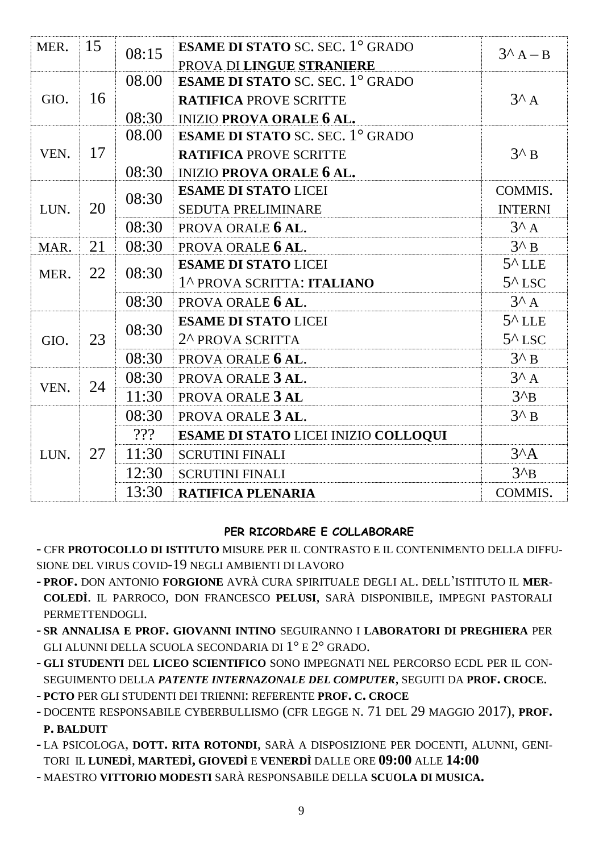| MER. | 15 |       | <b>ESAME DI STATO SC. SEC. 1° GRADO</b> |                             |                              |                  |                            |                  |  |  |  |  |  |  |  |       |                             |                  |
|------|----|-------|-----------------------------------------|-----------------------------|------------------------------|------------------|----------------------------|------------------|--|--|--|--|--|--|--|-------|-----------------------------|------------------|
|      |    |       | 08:15                                   | PROVA DI LINGUE STRANIERE   | $3^A A - B$                  |                  |                            |                  |  |  |  |  |  |  |  |       |                             |                  |
|      |    | 08.00 | <b>ESAME DI STATO SC. SEC. 1° GRADO</b> |                             |                              |                  |                            |                  |  |  |  |  |  |  |  |       |                             |                  |
| GIO. | 16 |       | <b>RATIFICA PROVE SCRITTE</b>           | $3^A$ A                     |                              |                  |                            |                  |  |  |  |  |  |  |  |       |                             |                  |
|      |    | 08:30 | <b>INIZIO PROVA ORALE 6 AL.</b>         |                             |                              |                  |                            |                  |  |  |  |  |  |  |  |       |                             |                  |
|      |    | 08.00 | <b>ESAME DI STATO SC. SEC. 1° GRADO</b> |                             |                              |                  |                            |                  |  |  |  |  |  |  |  |       |                             |                  |
| VEN. | 17 |       | <b>RATIFICA PROVE SCRITTE</b>           | $3^{\wedge}$ B              |                              |                  |                            |                  |  |  |  |  |  |  |  |       |                             |                  |
|      |    | 08:30 | <b>INIZIO PROVA ORALE 6 AL.</b>         |                             |                              |                  |                            |                  |  |  |  |  |  |  |  |       |                             |                  |
|      |    | 08:30 | <b>ESAME DI STATO LICEI</b>             | COMMIS.                     |                              |                  |                            |                  |  |  |  |  |  |  |  |       |                             |                  |
| LUN. | 20 |       | SEDUTA PRELIMINARE                      | <b>INTERNI</b>              |                              |                  |                            |                  |  |  |  |  |  |  |  |       |                             |                  |
|      |    | 08:30 | PROVA ORALE 6 AL.                       | $3^A$ A                     |                              |                  |                            |                  |  |  |  |  |  |  |  |       |                             |                  |
| MAR. | 21 | 08:30 | PROVA ORALE 6 AL.                       | $3^{\wedge} B$              |                              |                  |                            |                  |  |  |  |  |  |  |  |       |                             |                  |
| MER. | 22 |       |                                         |                             |                              |                  |                            |                  |  |  |  |  |  |  |  | 08:30 | <b>ESAME DI STATO LICEI</b> | $5^{\wedge}$ LLE |
|      |    |       |                                         |                             |                              |                  | 1^ PROVA SCRITTA: ITALIANO | $5^{\wedge}$ LSC |  |  |  |  |  |  |  |       |                             |                  |
|      |    | 08:30 | PROVA ORALE 6 AL.                       | $3^A$ A                     |                              |                  |                            |                  |  |  |  |  |  |  |  |       |                             |                  |
|      | 23 |       | 08:30                                   | <b>ESAME DI STATO LICEI</b> | $5^{\wedge}$ LLE             |                  |                            |                  |  |  |  |  |  |  |  |       |                             |                  |
| GIO. |    |       |                                         |                             | 2 <sup>^</sup> PROVA SCRITTA | $5^{\wedge}$ LSC |                            |                  |  |  |  |  |  |  |  |       |                             |                  |
|      |    | 08:30 | PROVA ORALE 6 AL.                       | $3^{\wedge}$ B              |                              |                  |                            |                  |  |  |  |  |  |  |  |       |                             |                  |
|      | 24 | 08:30 | PROVA ORALE 3 AL.                       | $3^A$ A                     |                              |                  |                            |                  |  |  |  |  |  |  |  |       |                             |                  |
| VEN. |    | 11:30 | PROVA ORALE 3 AL                        | $3^{\prime}B$               |                              |                  |                            |                  |  |  |  |  |  |  |  |       |                             |                  |
|      |    | 08:30 | PROVA ORALE 3 AL.                       | $3^{\wedge}$ B              |                              |                  |                            |                  |  |  |  |  |  |  |  |       |                             |                  |
|      | 27 | 222   | ESAME DI STATO LICEI INIZIO COLLOQUI    |                             |                              |                  |                            |                  |  |  |  |  |  |  |  |       |                             |                  |
| LUN. |    | 11:30 | <b>SCRUTINI FINALI</b>                  | $3^A$                       |                              |                  |                            |                  |  |  |  |  |  |  |  |       |                             |                  |
|      |    | 12:30 | <b>SCRUTINI FINALI</b>                  | $3^{\prime}B$               |                              |                  |                            |                  |  |  |  |  |  |  |  |       |                             |                  |
|      |    | 13:30 | <b>RATIFICA PLENARIA</b>                | COMMIS.                     |                              |                  |                            |                  |  |  |  |  |  |  |  |       |                             |                  |

#### **PER RICORDARE E COLLABORARE**

- CFR **PROTOCOLLO DI ISTITUTO** MISURE PER IL CONTRASTO E IL CONTENIMENTO DELLA DIFFU-SIONE DEL VIRUS COVID-19 NEGLI AMBIENTI DI LAVORO
- **PROF.** DON ANTONIO **FORGIONE** AVRÀ CURA SPIRITUALE DEGLI AL. DELL'ISTITUTO IL **MER-COLEDÌ**. IL PARROCO, DON FRANCESCO **PELUSI**, SARÀ DISPONIBILE, IMPEGNI PASTORALI PERMETTENDOGLI.
- **SR ANNALISA E PROF. GIOVANNI INTINO** SEGUIRANNO I **LABORATORI DI PREGHIERA** PER GLI ALUNNI DELLA SCUOLA SECONDARIA DI 1° E 2° GRADO.
- **GLI STUDENTI** DEL **LICEO SCIENTIFICO** SONO IMPEGNATI NEL PERCORSO ECDL PER IL CON-SEGUIMENTO DELLA *PATENTE INTERNAZONALE DEL COMPUTER*, SEGUITI DA **PROF. CROCE**.
- **PCTO** PER GLI STUDENTI DEI TRIENNI: REFERENTE **PROF. C. CROCE**
- DOCENTE RESPONSABILE CYBERBULLISMO (CFR LEGGE N. 71 DEL 29 MAGGIO 2017), **PROF. P. BALDUIT**
- LA PSICOLOGA, **DOTT. RITA ROTONDI**, SARÀ A DISPOSIZIONE PER DOCENTI, ALUNNI, GENI-TORI IL **LUNEDÌ**, **MARTEDÌ, GIOVEDÌ** E **VENERDÌ** DALLE ORE **09:00** ALLE **14:00**
- MAESTRO **VITTORIO MODESTI** SARÀ RESPONSABILE DELLA **SCUOLA DI MUSICA.**